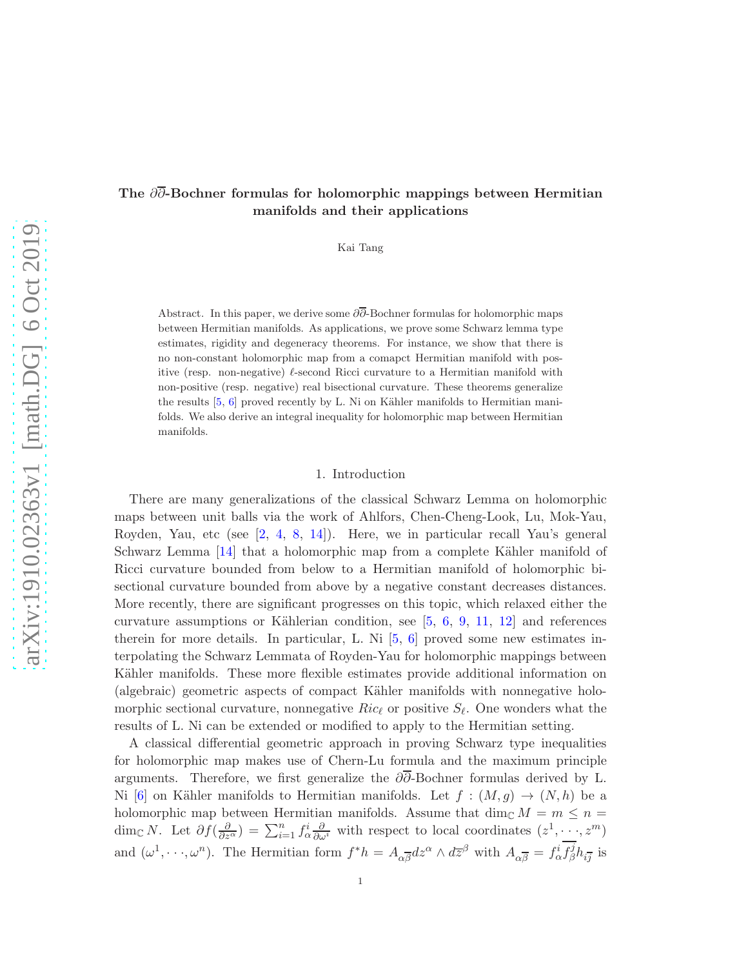# The ∂∂-Bochner formulas for holomorphic mappings between Hermitian manifolds and their applications

Kai Tang

Abstract. In this paper, we derive some  $\partial\overline{\partial}$ -Bochner formulas for holomorphic maps between Hermitian manifolds. As applications, we prove some Schwarz lemma type estimates, rigidity and degeneracy theorems. For instance, we show that there is no non-constant holomorphic map from a comapct Hermitian manifold with positive (resp. non-negative)  $\ell$ -second Ricci curvature to a Hermitian manifold with non-positive (resp. negative) real bisectional curvature. These theorems generalize the results  $[5, 6]$  $[5, 6]$  proved recently by L. Ni on Kähler manifolds to Hermitian manifolds. We also derive an integral inequality for holomorphic map between Hermitian manifolds.

### 1. Introduction

There are many generalizations of the classical Schwarz Lemma on holomorphic maps between unit balls via the work of Ahlfors, Chen-Cheng-Look, Lu, Mok-Yau, Royden, Yau, etc (see [\[2,](#page-11-0) [4,](#page-11-1) [8,](#page-12-2) [14\]](#page-12-3)). Here, we in particular recall Yau's general Schwarz Lemma [\[14\]](#page-12-3) that a holomorphic map from a complete Kähler manifold of Ricci curvature bounded from below to a Hermitian manifold of holomorphic bisectional curvature bounded from above by a negative constant decreases distances. More recently, there are significant progresses on this topic, which relaxed either the curvature assumptions or Kählerian condition, see  $[5, 6, 9, 11, 12]$  $[5, 6, 9, 11, 12]$  $[5, 6, 9, 11, 12]$  $[5, 6, 9, 11, 12]$  $[5, 6, 9, 11, 12]$  $[5, 6, 9, 11, 12]$  $[5, 6, 9, 11, 12]$  $[5, 6, 9, 11, 12]$  and references therein for more details. In particular, L. Ni [\[5,](#page-12-0) [6\]](#page-12-1) proved some new estimates interpolating the Schwarz Lemmata of Royden-Yau for holomorphic mappings between Kähler manifolds. These more flexible estimates provide additional information on (algebraic) geometric aspects of compact Kähler manifolds with nonnegative holomorphic sectional curvature, nonnegative  $Ric_{\ell}$  or positive  $S_{\ell}$ . One wonders what the results of L. Ni can be extended or modified to apply to the Hermitian setting.

A classical differential geometric approach in proving Schwarz type inequalities for holomorphic map makes use of Chern-Lu formula and the maximum principle arguments. Therefore, we first generalize the  $\partial\overline{\partial}$ -Bochner formulas derived by L. Ni [\[6\]](#page-12-1) on Kähler manifolds to Hermitian manifolds. Let  $f : (M, g) \to (N, h)$  be a holomorphic map between Hermitian manifolds. Assume that dim<sub>C</sub>  $M = m \leq n =$ dim<sub>C</sub> N. Let  $\partial f(\frac{\partial}{\partial z^{\alpha}}) = \sum_{i=1}^{n} f_{\alpha}^{i} \frac{\partial}{\partial \omega^{i}}$  with respect to local coordinates  $(z^{1}, \dots, z^{m})$ and  $(\omega^1, \dots, \omega^n)$ . The Hermitian form  $f^*h = A_{\alpha\overline{\beta}}dz^{\alpha} \wedge d\overline{z}^{\beta}$  with  $A_{\alpha\overline{\beta}} = f^i_{\alpha}f^j_{\beta}$  $\beta^j h_{i\overline{j}}$  is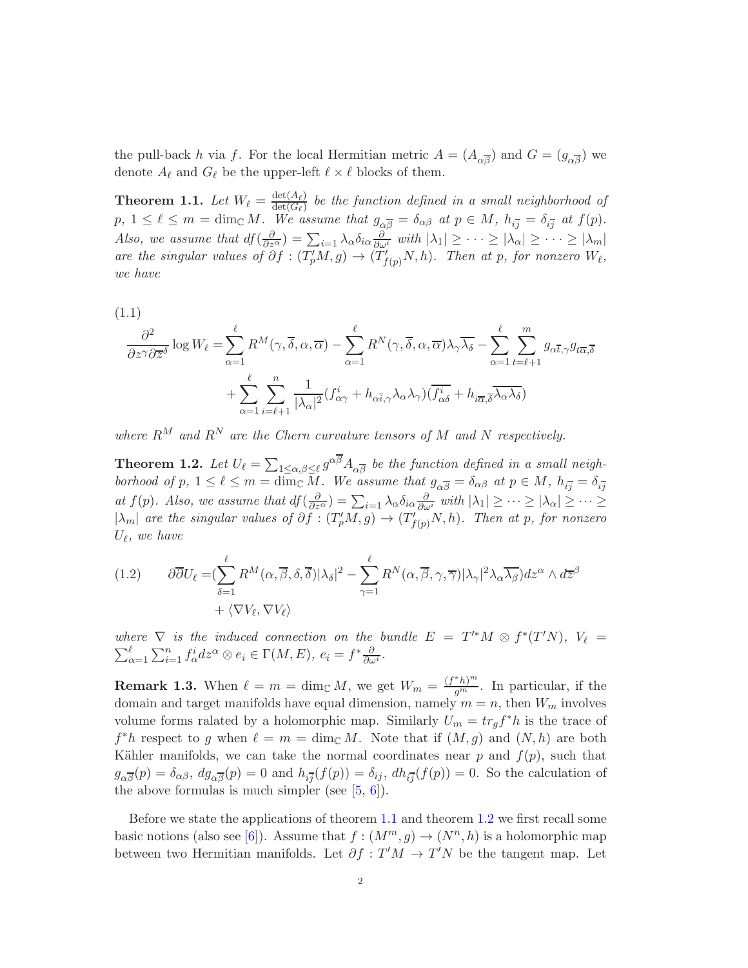the pull-back h via f. For the local Hermitian metric  $A = (A_{\alpha\overline{\beta}})$  and  $G = (g_{\alpha\overline{\beta}})$  we denote  $A_{\ell}$  and  $G_{\ell}$  be the upper-left  $\ell \times \ell$  blocks of them.

<span id="page-1-0"></span>**Theorem 1.1.** Let  $W_{\ell} = \frac{\det(A_{\ell})}{\det(G_{\ell})}$  $\frac{\det(A_\ell)}{\det(G_\ell)}$  be the function defined in a small neighborhood of  $p, 1 \leq \ell \leq m = \dim_{\mathbb{C}} M$ . We assume that  $g_{\alpha\overline{\beta}} = \delta_{\alpha\beta}$  at  $p \in M$ ,  $h_{i\overline{j}} = \delta_{i\overline{j}}$  at  $f(p)$ . *Also, we assume that*  $df(\frac{\partial}{\partial z^{\alpha}}) = \sum_{i=1}^{\infty} \lambda_{\alpha} \delta_{i\alpha} \frac{\partial}{\partial \omega^{i}}$  with  $|\lambda_{1}| \geq \cdots \geq |\lambda_{\alpha}| \geq \cdots \geq |\lambda_{m}|$ *are the singular values of*  $\partial f : (T_p'M, g) \to (T_{f(p)}'N, h)$ *. Then at p, for nonzero*  $W_{\ell}$ *, we have*

(1.1)

$$
\frac{\partial^2}{\partial z^{\gamma} \partial \overline{z}^{\delta}} \log W_{\ell} = \sum_{\alpha=1}^{\ell} R^M(\gamma, \overline{\delta}, \alpha, \overline{\alpha}) - \sum_{\alpha=1}^{\ell} R^N(\gamma, \overline{\delta}, \alpha, \overline{\alpha}) \lambda_{\gamma} \overline{\lambda_{\delta}} - \sum_{\alpha=1}^{\ell} \sum_{t=\ell+1}^{m} g_{\alpha \overline{t}, \gamma} g_{t \overline{\alpha}, \overline{\delta}} + \sum_{\alpha=1}^{\ell} \sum_{i=\ell+1}^{n} \frac{1}{|\lambda_{\alpha}|^2} (f_{\alpha \gamma}^i + h_{\alpha \overline{t}, \gamma} \lambda_{\alpha} \lambda_{\gamma}) (\overline{f_{\alpha \delta}^i} + h_{i \overline{\alpha}, \overline{\delta}} \overline{\lambda_{\alpha} \lambda_{\delta}})
$$

*where*  $R^M$  *and*  $R^N$  *are the Chern curvature tensors of* M *and* N *respectively.* 

<span id="page-1-1"></span>**Theorem 1.2.** Let  $U_{\ell} = \sum_{1 \leq \alpha,\beta \leq \ell} g^{\alpha\overline{\beta}} A_{\alpha\overline{\beta}}$  be the function defined in a small neigh*borhood of*  $p$ ,  $1 \leq \ell \leq m = \dim_{\mathbb{C}} M$ . We assume that  $g_{\alpha\overline{\beta}} = \delta_{\alpha\beta}$  at  $p \in M$ ,  $h_{i\overline{j}} = \delta_{i\overline{j}}$ *at*  $f(p)$ *. Also, we assume that*  $df(\frac{\partial}{\partial z^{\alpha}}) = \sum_{i=1}^{\infty} \lambda_{\alpha} \delta_{i\alpha} \frac{\partial}{\partial \omega^{i}}$  with  $|\lambda_{1}| \geq \cdots \geq |\lambda_{\alpha}| \geq \cdots \geq |\lambda_{\alpha}|$  $|\lambda_m|$  are the singular values of  $\partial f : (T_p'M, g) \to (T_{f(p)}'N, h)$ . Then at p, for nonzero Uℓ *, we have*

(1.2) 
$$
\partial \overline{\partial} U_{\ell} = \left( \sum_{\delta=1}^{\ell} R^{M}(\alpha, \overline{\beta}, \delta, \overline{\delta}) |\lambda_{\delta}|^{2} - \sum_{\gamma=1}^{\ell} R^{N}(\alpha, \overline{\beta}, \gamma, \overline{\gamma}) |\lambda_{\gamma}|^{2} \lambda_{\alpha} \overline{\lambda_{\beta}} \right) dz^{\alpha} \wedge d\overline{z}^{\beta} + \langle \nabla V_{\ell}, \nabla V_{\ell} \rangle
$$

where  $\nabla$  *is the induced connection on the bundle*  $E = T^*M \otimes f^*(T^*N)$ ,  $V_{\ell} = \sum_{\alpha=1}^{\ell} \sum_{i=1}^{n} f_{\alpha}^i dz^{\alpha} \otimes e_i \in \Gamma(M, E)$ ,  $e_i = f^* \frac{\partial}{\partial \omega^i}$ .

**Remark 1.3.** When  $\ell = m = \dim_{\mathbb{C}} M$ , we get  $W_m = \frac{(f^*h)^m}{g^m}$ . In particular, if the domain and target manifolds have equal dimension, namely  $m = n$ , then  $W_m$  involves volume forms ralated by a holomorphic map. Similarly  $U_m = tr_g f^* h$  is the trace of  $f^*h$  respect to g when  $\ell = m = \dim_{\mathbb{C}} M$ . Note that if  $(M, g)$  and  $(N, h)$  are both Kähler manifolds, we can take the normal coordinates near p and  $f(p)$ , such that  $g_{\alpha\overline{\beta}}(p) = \delta_{\alpha\beta}$ ,  $dg_{\alpha\overline{\beta}}(p) = 0$  and  $h_{i\overline{j}}(f(p)) = \delta_{ij}$ ,  $dh_{i\overline{j}}(f(p)) = 0$ . So the calculation of the above formulas is much simpler (see  $[5, 6]$  $[5, 6]$ ).

Before we state the applications of theorem [1.1](#page-1-0) and theorem [1.2](#page-1-1) we first recall some basic notions (also see [\[6\]](#page-12-1)). Assume that  $f : (M^m, g) \to (N^n, h)$  is a holomorphic map between two Hermitian manifolds. Let  $\partial f : T'M \to T'N$  be the tangent map. Let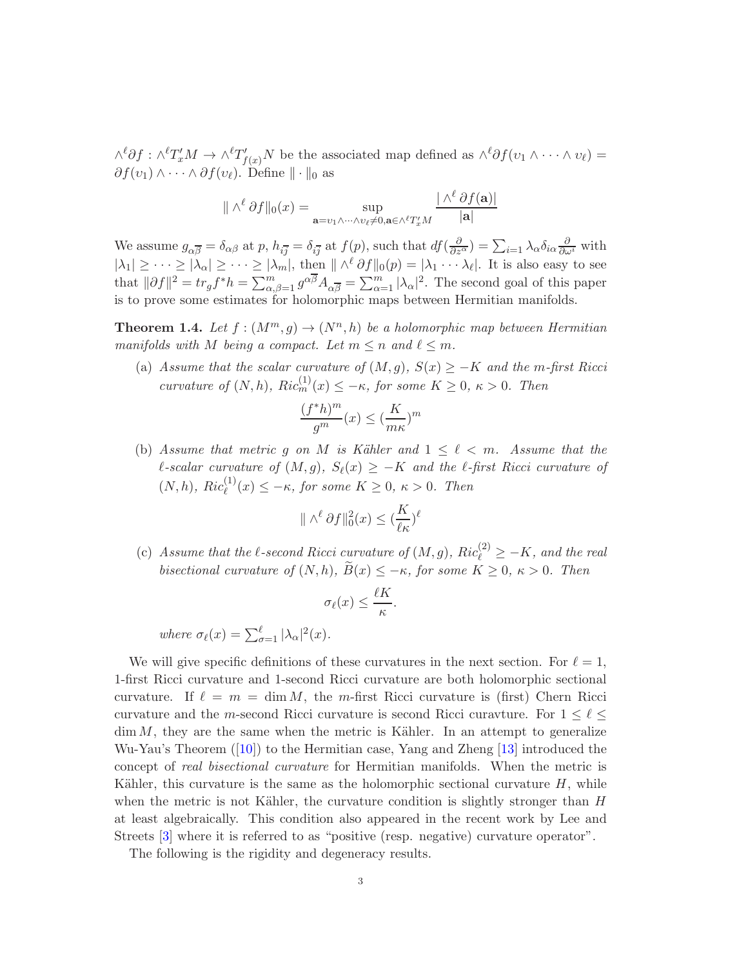$\wedge^{\ell} \partial f : \wedge^{\ell} T'_x M \to \wedge^{\ell} T'_{f(x)} N$  be the associated map defined as  $\wedge^{\ell} \partial f(v_1 \wedge \cdots \wedge v_{\ell}) =$  $\partial f(v_1) \wedge \cdots \wedge \partial f(v_\ell)$ . Define  $\|\cdot\|_0$  as

$$
\|\wedge^{\ell}\partial f\|_{0}(x)=\sup_{\mathbf{a}=v_{1}\wedge\cdots\wedge v_{\ell}\neq 0,\mathbf{a}\in\wedge^{\ell}T_{x}^{\prime}M}\frac{|\wedge^{\ell}\partial f(\mathbf{a})|}{|\mathbf{a}|}
$$

We assume  $g_{\alpha\overline{\beta}} = \delta_{\alpha\beta}$  at p,  $h_{i\overline{j}} = \delta_{i\overline{j}}$  at  $f(p)$ , such that  $df(\frac{\partial}{\partial z^{\alpha}}) = \sum_{i=1} \lambda_{\alpha} \delta_{i\alpha} \frac{\partial}{\partial \omega^{i}}$  with  $|\lambda_1| \geq \cdots \geq |\lambda_{\alpha}| \geq \cdots \geq |\lambda_m|$ , then  $|| \wedge^{\ell} \partial f ||_0(p) = |\lambda_1 \cdots \lambda_{\ell}|$ . It is also easy to see that  $\|\partial f\|^2 = tr_g f^* h = \sum_{\alpha,\beta=1}^m g^{\alpha\overline{\beta}} A_{\alpha\overline{\beta}} = \sum_{\alpha=1}^m |\lambda_\alpha|^2$ . The second goal of this paper is to prove some estimates for holomorphic maps between Hermitian manifolds.

<span id="page-2-0"></span>**Theorem 1.4.** Let  $f : (M^m, g) \to (N^n, h)$  be a holomorphic map between Hermitian *manifolds with* M *being a compact. Let*  $m \leq n$  *and*  $\ell \leq m$ *.* 

(a) *Assume that the scalar curvature of*  $(M, g)$ ,  $S(x) \geq -K$  *and the m-first Ricci curvature of*  $(N, h)$ *,*  $Ric_m^{(1)}(x) \leq -\kappa$ *, for some*  $K \geq 0$ *,*  $\kappa > 0$ *. Then* 

$$
\frac{(f^*h)^m}{g^m}(x) \le (\frac{K}{m\kappa})^m
$$

(b) Assume that metric g on M is Kähler and  $1 \leq \ell \leq m$ . Assume that the ℓ*-scalar curvature of* (M, g)*,* Sℓ(x) ≥ −K *and the* ℓ*-first Ricci curvature of*  $(N, h)$ *, Ric*<sub> $\ell$ </sub><sup> $(1)(x) \leq -\kappa$ *, for some*  $K \geq 0$ *,*  $\kappa > 0$ *. Then*</sup>

$$
\|\wedge^{\ell} \partial f\|_{0}^{2}(x) \leq (\frac{K}{\ell \kappa})^{\ell}
$$

(c) Assume that the  $\ell$ -second Ricci curvature of  $(M, g)$ ,  $Ric_{\ell}^{(2)} \geq -K$ , and the real *bisectional curvature of*  $(N, h)$ ,  $\widetilde{B}(x) \leq -\kappa$ , for some  $K \geq 0$ ,  $\kappa > 0$ . Then

$$
\sigma_{\ell}(x) \leq \frac{\ell K}{\kappa}.
$$

*where*  $\sigma_{\ell}(x) = \sum_{\sigma=1}^{\ell} |\lambda_{\alpha}|^2(x)$ *.* 

We will give specific definitions of these curvatures in the next section. For  $\ell = 1$ , 1-first Ricci curvature and 1-second Ricci curvature are both holomorphic sectional curvature. If  $\ell = m = \dim M$ , the m-first Ricci curvature is (first) Chern Ricci curvature and the m-second Ricci curvature is second Ricci curavture. For  $1 \leq \ell \leq$  $\dim M$ , they are the same when the metric is Kähler. In an attempt to generalize Wu-Yau's Theorem([\[10\]](#page-12-7)) to the Hermitian case, Yang and Zheng [\[13\]](#page-12-8) introduced the concept of *real bisectional curvature* for Hermitian manifolds. When the metric is Kähler, this curvature is the same as the holomorphic sectional curvature  $H$ , while when the metric is not Kähler, the curvature condition is slightly stronger than  $H$ at least algebraically. This condition also appeared in the recent work by Lee and Streets [\[3\]](#page-11-2) where it is referred to as "positive (resp. negative) curvature operator".

The following is the rigidity and degeneracy results.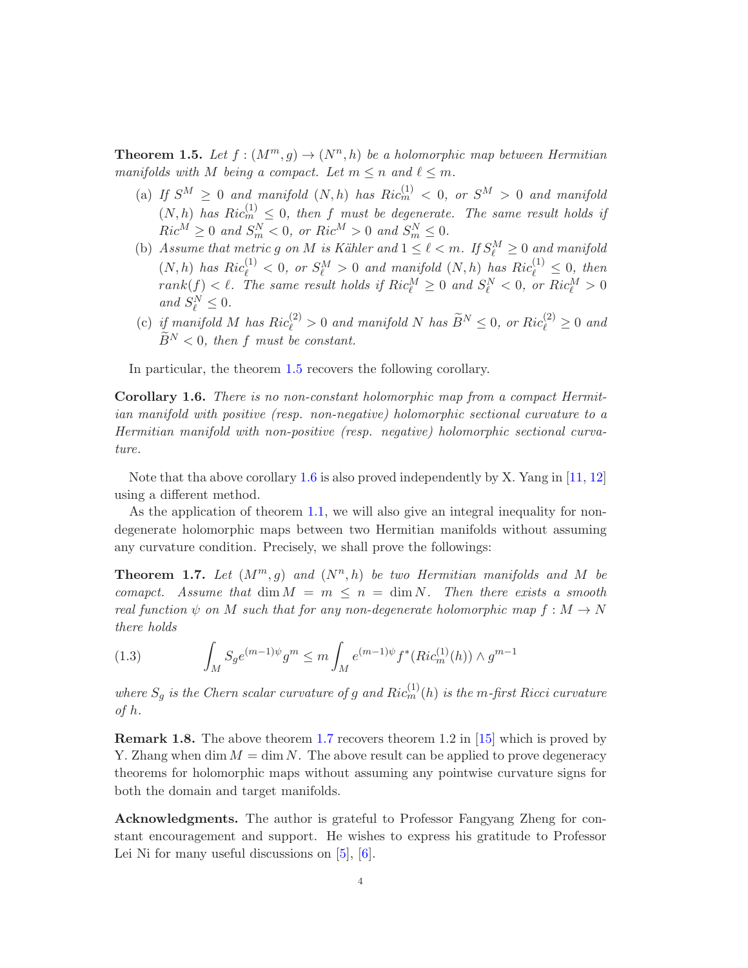<span id="page-3-0"></span>**Theorem 1.5.** Let  $f : (M^m, g) \to (N^n, h)$  be a holomorphic map between Hermitian *manifolds with* M *being a compact. Let*  $m \leq n$  *and*  $\ell \leq m$ *.* 

- (a) If  $S^M \geq 0$  and manifold  $(N, h)$  has  $Ric_m^{(1)} < 0$ , or  $S^M > 0$  and manifold  $(N, h)$  has  $Ric_m^{(1)} \leq 0$ , then f must be degenerate. The same result holds if  $Ric^M \geq 0$  and  $S_m^N < 0$ , or  $Ric^M > 0$  and  $S_m^N \leq 0$ .
- (b) Assume that metric g on M is Kähler and  $1 \leq \ell < m$ . If  $S_{\ell}^M \geq 0$  and manifold  $(N, h)$  *has*  $Ric_{\ell}^{(1)} < 0$ , or  $S_{\ell}^{M} > 0$  and manifold  $(N, h)$  *has*  $Ric_{\ell}^{(1)} \leq 0$ , then  $rank(f) < \ell$ . The same result holds if  $Ric_{\ell}^{M} \geq 0$  and  $S_{\ell}^{N} < 0$ , or  $Ric_{\ell}^{M} > 0$ and  $S_{\ell}^N \leq 0$ .
- (c) if manifold M has  $Ric_{\ell}^{(2)} > 0$  and manifold N has  $\widetilde{B}^{N} \leq 0$ , or  $Ric_{\ell}^{(2)} \geq 0$  and  $\widetilde{B}^N < 0$ , then f must be constant.

In particular, the theorem [1.5](#page-3-0) recovers the following corollary.

<span id="page-3-1"></span>Corollary 1.6. *There is no non-constant holomorphic map from a compact Hermitian manifold with positive (resp. non-negative) holomorphic sectional curvature to a Hermitian manifold with non-positive (resp. negative) holomorphic sectional curvature.*

Note that tha above corollary [1.6](#page-3-1) is also proved independently by X. Yang in [\[11,](#page-12-5) [12\]](#page-12-6) using a different method.

As the application of theorem [1.1,](#page-1-0) we will also give an integral inequality for nondegenerate holomorphic maps between two Hermitian manifolds without assuming any curvature condition. Precisely, we shall prove the followings:

<span id="page-3-2"></span>**Theorem 1.7.** Let  $(M^m, g)$  and  $(N^n, h)$  be two Hermitian manifolds and M be *comapct.* Assume that  $\dim M = m \leq n = \dim N$ . Then there exists a smooth *real function*  $\psi$  *on* M *such that for any non-degenerate holomorphic map*  $f : M \to N$ *there holds*

(1.3) 
$$
\int_{M} S_{g} e^{(m-1)\psi} g^{m} \leq m \int_{M} e^{(m-1)\psi} f^{*} (Ric_{m}^{(1)}(h)) \wedge g^{m-1}
$$

where  $S_g$  *is the Chern scalar curvature of g and*  $Ric_n^{(1)}(h)$  *is the m-first Ricci curvature of* h*.*

Remark 1.8. The above theorem [1.7](#page-3-2) recovers theorem 1.2 in [\[15\]](#page-12-9) which is proved by Y. Zhang when dim  $M = \dim N$ . The above result can be applied to prove degeneracy theorems for holomorphic maps without assuming any pointwise curvature signs for both the domain and target manifolds.

Acknowledgments. The author is grateful to Professor Fangyang Zheng for constant encouragement and support. He wishes to express his gratitude to Professor Lei Ni for many useful discussions on [\[5\]](#page-12-0), [\[6\]](#page-12-1).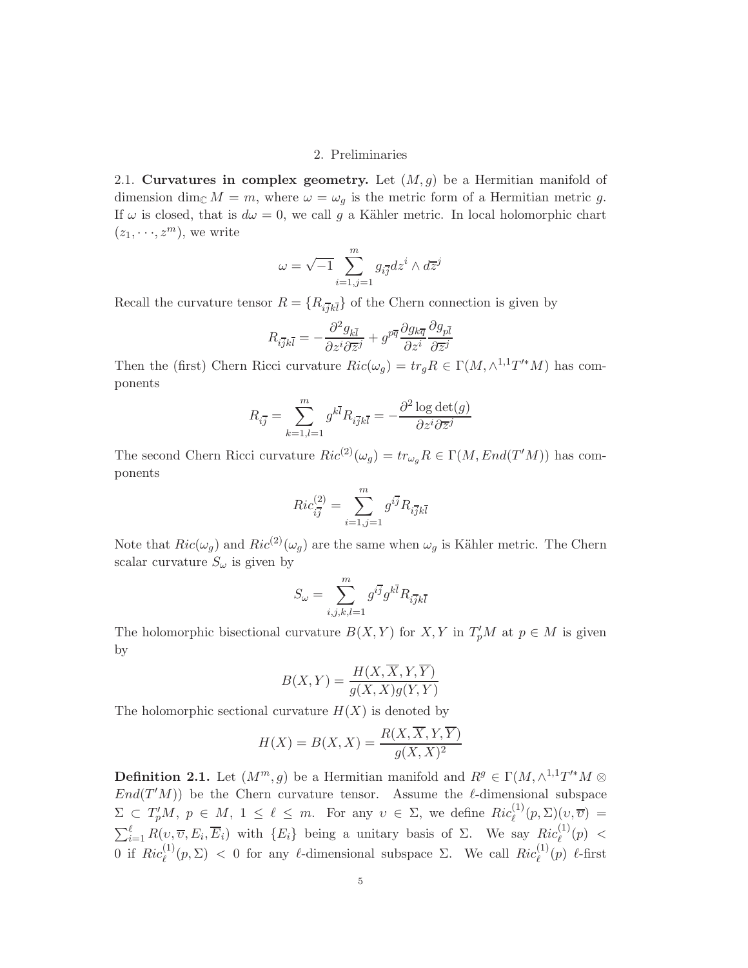### 2. Preliminaries

2.1. Curvatures in complex geometry. Let  $(M, g)$  be a Hermitian manifold of dimension dim<sub>C</sub>  $M = m$ , where  $\omega = \omega_g$  is the metric form of a Hermitian metric g. If  $\omega$  is closed, that is  $d\omega = 0$ , we call g a Kähler metric. In local holomorphic chart  $(z_1, \dots, z^m)$ , we write

$$
\omega=\sqrt{-1}\sum_{i=1,j=1}^mg_{i\overline{j}}dz^i\wedge d\overline{z}^j
$$

Recall the curvature tensor  $R = \{R_{i\overline{j}k\overline{l}}\}$  of the Chern connection is given by

$$
R_{i\overline{j}k\overline{l}} = -\frac{\partial^2 g_{k\overline{l}}}{\partial z^i \partial \overline{z}^j} + g^{p\overline{q}} \frac{\partial g_{k\overline{q}}}{\partial z^i} \frac{\partial g_{p\overline{l}}}{\partial \overline{z}^j}
$$

Then the (first) Chern Ricci curvature  $Ric(\omega_g) = tr_g R \in \Gamma(M, \wedge^{1,1}T'^*M)$  has components

$$
R_{i\overline{j}} = \sum_{k=1,l=1}^{m} g^{k\overline{l}} R_{i\overline{j}k\overline{l}} = -\frac{\partial^2 \log \det(g)}{\partial z^i \partial \overline{z}^j}
$$

The second Chern Ricci curvature  $Ric^{(2)}(\omega_g) = tr_{\omega_g} R \in \Gamma(M, End(T'M))$  has components

$$
Ric_{i\bar{j}}^{(2)} = \sum_{i=1,j=1}^{m} g^{i\bar{j}} R_{i\bar{j}k\bar{l}}
$$

Note that  $Ric(\omega_q)$  and  $Ric^{(2)}(\omega_q)$  are the same when  $\omega_q$  is Kähler metric. The Chern scalar curvature  $S_{\omega}$  is given by

$$
S_{\omega} = \sum_{i,j,k,l=1}^{m} g^{i\overline{j}} g^{k\overline{l}} R_{i\overline{j}k\overline{l}}
$$

The holomorphic bisectional curvature  $B(X,Y)$  for  $X,Y$  in  $T_p'M$  at  $p\in M$  is given by

$$
B(X,Y) = \frac{H(X,\overline{X},Y,\overline{Y})}{g(X,X)g(Y,Y)}
$$

The holomorphic sectional curvature  $H(X)$  is denoted by

$$
H(X) = B(X, X) = \frac{R(X, \overline{X}, Y, \overline{Y})}{g(X, X)^2}
$$

**Definition 2.1.** Let  $(M^m, g)$  be a Hermitian manifold and  $R^g \in \Gamma(M, \wedge^{1,1}T'^*M \otimes$  $End(T'M))$  be the Chern curvature tensor. Assume the  $\ell$ -dimensional subspace  $\Sigma \subset T_p^{\prime}M$ ,  $p \in M$ ,  $1 \leq \ell \leq m$ . For any  $v \in \Sigma$ , we define  $Ric_{\ell}^{(1)}(p, \Sigma)(v, \overline{v}) =$  $\sum_{i=1}^{\ell} R(v_i, \overline{v}, E_i, \overline{E}_i)$  with  $\{E_i\}$  being a unitary basis of  $\Sigma$ . We say  $Ric_{\ell}^{(1)}(p)$  < 0 if  $Ric_{\ell}^{(1)}(p,\Sigma) < 0$  for any  $\ell$ -dimensional subspace  $\Sigma$ . We call  $Ric_{\ell}^{(1)}(p)$   $\ell$ -first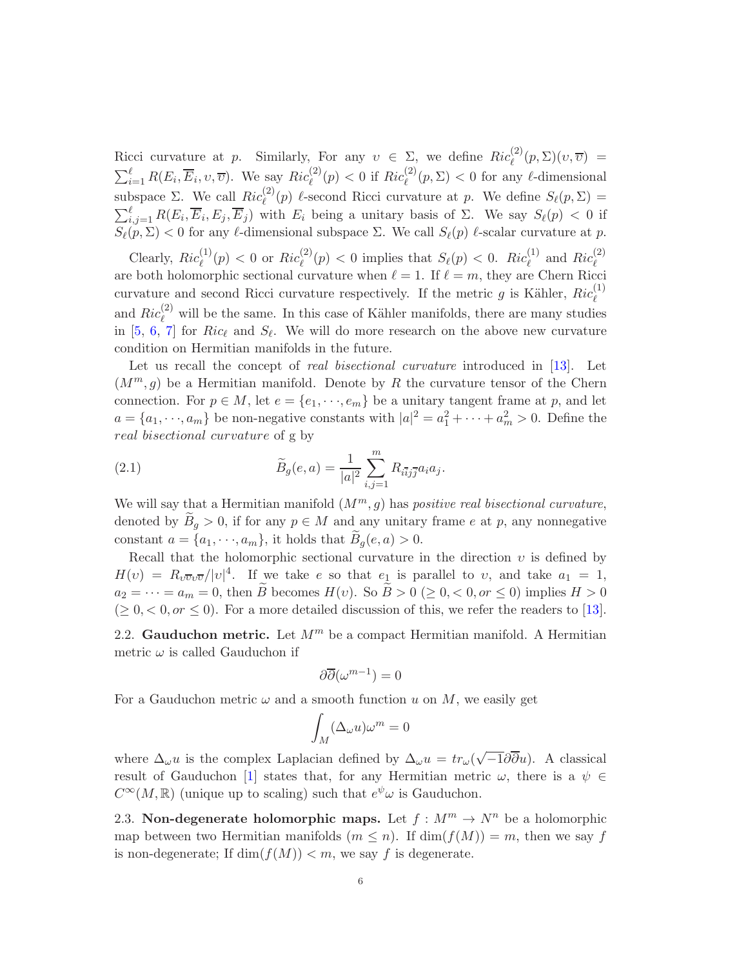Ricci curvature at p. Similarly, For any  $v \in \Sigma$ , we define  $Ric^{(2)}_{\ell}(p,\Sigma)(v,\overline{v}) =$  $\sum_{i=1}^{\ell} R(E_i, \overline{E}_i, v, \overline{v})$ . We say  $Ric_{\ell}^{(2)}(p) < 0$  if  $Ric_{\ell}^{(2)}(p, \Sigma) < 0$  for any  $\ell$ -dimensional subspace  $\Sigma$ . We call  $Ric_{\ell}^{(2)}(p)$   $\ell$ -second Ricci curvature at p. We define  $S_{\ell}(p,\Sigma)$  =  $\sum_{i,j=1}^{\ell} R(E_i, \overline{E}_i, E_j, \overline{E}_j)$  with  $E_i$  being a unitary basis of  $\Sigma$ . We say  $S_{\ell}(p) < 0$  if  $S_{\ell}(p,\Sigma) < 0$  for any  $\ell$ -dimensional subspace  $\Sigma$ . We call  $S_{\ell}(p)$   $\ell$ -scalar curvature at p.

Clearly,  $Ric_{\ell}^{(1)}(p) < 0$  or  $Ric_{\ell}^{(2)}(p) < 0$  implies that  $S_{\ell}(p) < 0$ .  $Ric_{\ell}^{(1)}$  and  $Ric_{\ell}^{(2)}$ are both holomorphic sectional curvature when  $\ell = 1$ . If  $\ell = m$ , they are Chern Ricci curvature and second Ricci curvature respectively. If the metric g is Kähler,  $Ric_{\ell}^{(1)}$ and  $Ric_{\ell}^{(2)}$  will be the same. In this case of Kähler manifolds, there are many studies in [\[5,](#page-12-0) [6,](#page-12-1) [7\]](#page-12-10) for  $Ric_{\ell}$  and  $S_{\ell}$ . We will do more research on the above new curvature condition on Hermitian manifolds in the future.

Let us recall the concept of *real bisectional curvature* introduced in [\[13\]](#page-12-8). Let  $(M<sup>m</sup>, g)$  be a Hermitian manifold. Denote by R the curvature tensor of the Chern connection. For  $p \in M$ , let  $e = \{e_1, \dots, e_m\}$  be a unitary tangent frame at p, and let  $a = \{a_1, \dots, a_m\}$  be non-negative constants with  $|a|^2 = a_1^2 + \dots + a_m^2 > 0$ . Define the real bisectional curvature of g by

(2.1) 
$$
\widetilde{B}_g(e,a) = \frac{1}{|a|^2} \sum_{i,j=1}^m R_{i\bar{i}j\bar{j}} a_i a_j.
$$

We will say that a Hermitian manifold  $(M^m, g)$  has *positive real bisectional curvature*, denoted by  $\widetilde{B}_g > 0$ , if for any  $p \in M$  and any unitary frame e at p, any nonnegative constant  $a = \{a_1, \dots, a_m\}$ , it holds that  $B_g(e, a) > 0$ .

Recall that the holomorphic sectional curvature in the direction  $v$  is defined by  $H(v) = R_{v\overline{v}v\overline{v}}/|v|^4$ . If we take e so that  $e_1$  is parallel to v, and take  $a_1 = 1$ ,  $a_2 = \cdots = a_m = 0$ , then  $\widetilde{B}$  becomes  $H(v)$ . So  $\widetilde{B} > 0 \ (\geq 0, < 0, or \leq 0)$  implies  $H > 0$  $( \geq 0, < 0, or \leq 0).$  For a more detailed discussion of this, we refer the readers to [\[13\]](#page-12-8).

2.2. Gauduchon metric. Let  $M^m$  be a compact Hermitian manifold. A Hermitian metric  $\omega$  is called Gauduchon if

$$
\partial \overline{\partial}(\omega^{m-1}) = 0
$$

For a Gauduchon metric  $\omega$  and a smooth function u on M, we easily get

$$
\int_M (\Delta_\omega u)\omega^m=0
$$

where  $\Delta_{\omega} u$  is the complex Laplacian defined by  $\Delta_{\omega} u = tr_{\omega}(\sqrt{-1}\partial \overline{\partial} u)$ . A classical result of Gauduchon [\[1\]](#page-11-3) states that, for any Hermitian metric  $\omega$ , there is a  $\psi \in$  $C^{\infty}(M,\mathbb{R})$  (unique up to scaling) such that  $e^{\psi}\omega$  is Gauduchon.

2.3. Non-degenerate holomorphic maps. Let  $f : M^m \to N^n$  be a holomorphic map between two Hermitian manifolds  $(m \leq n)$ . If  $\dim(f(M)) = m$ , then we say f is non-degenerate; If  $\dim(f(M)) < m$ , we say f is degenerate.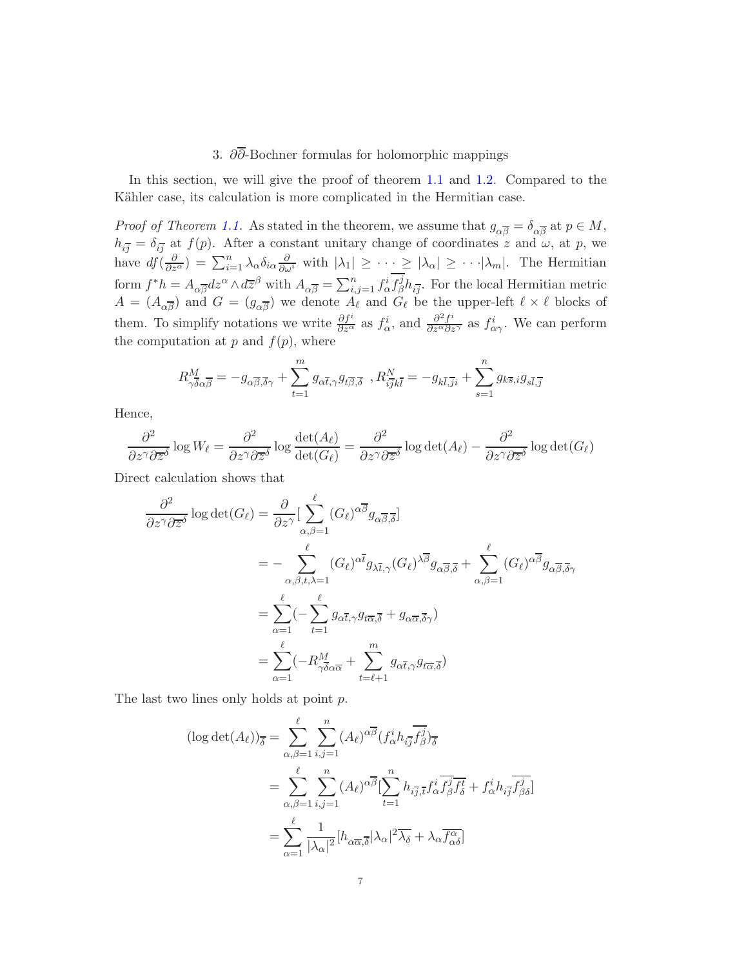## 3. ∂∂-Bochner formulas for holomorphic mappings

In this section, we will give the proof of theorem [1.1](#page-1-0) and [1.2.](#page-1-1) Compared to the Kähler case, its calculation is more complicated in the Hermitian case.

*Proof of Theorem [1.1.](#page-1-0)* As stated in the theorem, we assume that  $g_{\alpha\overline{\beta}} = \delta_{\alpha\overline{\beta}}$  at  $p \in M$ ,  $h_{i\overline{j}} = \delta_{i\overline{j}}$  at  $f(p)$ . After a constant unitary change of coordinates z and  $\omega$ , at p, we have  $df(\frac{\partial}{\partial z^{\alpha}}) = \sum_{i=1}^{n} \lambda_{\alpha} \delta_{i\alpha} \frac{\partial}{\partial \omega^{i}}$  with  $|\lambda_{1}| \geq \cdots \geq |\lambda_{\alpha}| \geq \cdots |\lambda_{m}|$ . The Hermitian form  $f^*h = A_{\alpha\overline{\beta}}dz^{\alpha} \wedge d\overline{z}^{\beta}$  with  $A_{\alpha\overline{\beta}} = \sum_{i,j=1}^n f_{\alpha}^i f_{\beta}^j$  $\beta^j h_{i\overline{j}}$ . For the local Hermitian metric  $A = (A_{\alpha\overline{\beta}})$  and  $G = (g_{\alpha\overline{\beta}})$  we denote  $A_{\ell}$  and  $G_{\ell}$  be the upper-left  $\ell \times \ell$  blocks of them. To simplify notations we write  $\frac{\partial f^i}{\partial z^{\alpha}}$  as  $f^i_{\alpha}$ , and  $\frac{\partial^2 f^i}{\partial z^{\alpha} \partial z^{\gamma}}$  as  $f^i_{\alpha \gamma}$ . We can perform the computation at  $p$  and  $f(p)$ , where

$$
R_{\gamma\overline{\delta}\alpha\overline{\beta}}^M = -g_{\alpha\overline{\beta},\overline{\delta}\gamma} + \sum_{t=1}^m g_{\alpha\overline{t},\gamma} g_{t\overline{\beta},\overline{\delta}} \, , R_{i\overline{j}k\overline{l}}^N = -g_{k\overline{l},\overline{j}i} + \sum_{s=1}^n g_{k\overline{s},i} g_{s\overline{l},\overline{j}}
$$

Hence,

$$
\frac{\partial^2}{\partial z^{\gamma} \partial \overline{z}^{\delta}} \log W_{\ell} = \frac{\partial^2}{\partial z^{\gamma} \partial \overline{z}^{\delta}} \log \frac{\det(A_{\ell})}{\det(G_{\ell})} = \frac{\partial^2}{\partial z^{\gamma} \partial \overline{z}^{\delta}} \log \det(A_{\ell}) - \frac{\partial^2}{\partial z^{\gamma} \partial \overline{z}^{\delta}} \log \det(G_{\ell})
$$

Direct calculation shows that

$$
\frac{\partial^2}{\partial z^\gamma \partial \overline{z}^\delta} \log \det(G_\ell) = \frac{\partial}{\partial z^\gamma} \left[ \sum_{\alpha,\beta=1}^\ell (G_\ell)^{\alpha \overline{\beta}} g_{\alpha \overline{\beta},\overline{\delta}} \right]
$$
  
\n
$$
= - \sum_{\alpha,\beta,t,\lambda=1}^\ell (G_\ell)^{\alpha \overline{t}} g_{\lambda \overline{t},\gamma} (G_\ell)^{\lambda \overline{\beta}} g_{\alpha \overline{\beta},\overline{\delta}} + \sum_{\alpha,\beta=1}^\ell (G_\ell)^{\alpha \overline{\beta}} g_{\alpha \overline{\beta},\overline{\delta}\gamma}
$$
  
\n
$$
= \sum_{\alpha=1}^\ell (-\sum_{t=1}^\ell g_{\alpha \overline{t},\gamma} g_{t\overline{\alpha},\overline{\delta}} + g_{\alpha \overline{\alpha},\overline{\delta}\gamma})
$$
  
\n
$$
= \sum_{\alpha=1}^\ell (-R^M_{\gamma \overline{\delta} \alpha \overline{\alpha}} + \sum_{t=\ell+1}^m g_{\alpha \overline{t},\gamma} g_{t\overline{\alpha},\overline{\delta}})
$$

The last two lines only holds at point p.

$$
(\log \det(A_{\ell}))_{\overline{\delta}} = \sum_{\alpha,\beta=1}^{\ell} \sum_{i,j=1}^{n} (A_{\ell})^{\alpha \overline{\beta}} (f_{\alpha}^{i} h_{i\overline{j}} \overline{f_{\beta}^{j}})_{\overline{\delta}}
$$
  

$$
= \sum_{\alpha,\beta=1}^{\ell} \sum_{i,j=1}^{n} (A_{\ell})^{\alpha \overline{\beta}} \left[ \sum_{t=1}^{n} h_{i\overline{j},\overline{t}} f_{\alpha}^{i} \overline{f_{\beta}^{j}} \overline{f_{\delta}^{t}} + f_{\alpha}^{i} h_{i\overline{j}} \overline{f_{\beta}^{j}} \right]
$$
  

$$
= \sum_{\alpha=1}^{\ell} \frac{1}{|\lambda_{\alpha}|^{2}} [h_{\alpha \overline{\alpha},\overline{\delta}} |\lambda_{\alpha}|^{2} \overline{\lambda_{\delta}} + \lambda_{\alpha} \overline{f_{\alpha}^{\alpha}}]
$$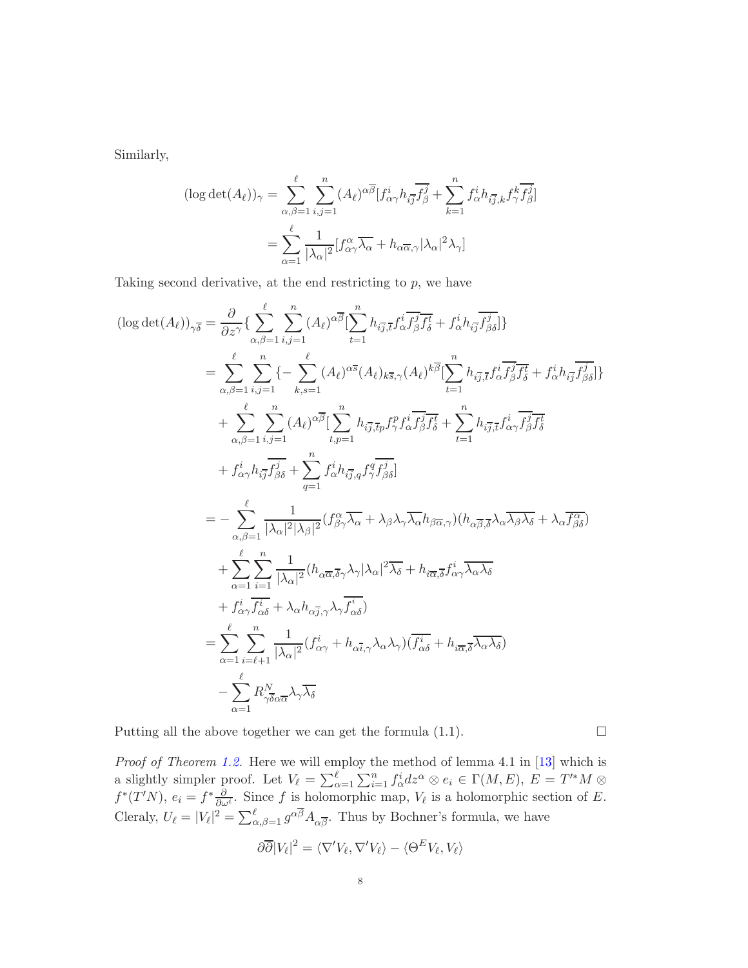Similarly,

$$
(\log \det(A_{\ell}))_{\gamma} = \sum_{\alpha,\beta=1}^{\ell} \sum_{i,j=1}^{n} (A_{\ell})^{\alpha\overline{\beta}} [f_{\alpha\gamma}^{i} h_{i\overline{j}} \overline{f_{\beta}^{j}} + \sum_{k=1}^{n} f_{\alpha}^{i} h_{i\overline{j},k} f_{\gamma}^{k} \overline{f_{\beta}^{j}}]
$$

$$
= \sum_{\alpha=1}^{\ell} \frac{1}{|\lambda_{\alpha}|^{2}} [f_{\alpha\gamma}^{\alpha} \overline{\lambda_{\alpha}} + h_{\alpha\overline{\alpha},\gamma} |\lambda_{\alpha}|^{2} \lambda_{\gamma}]
$$

Taking second derivative, at the end restricting to  $p$ , we have

$$
\begin{split}\n(\log \det(A_{\ell}))_{\gamma\overline{\delta}} &= \frac{\partial}{\partial z^{\gamma}} \{ \sum_{\alpha,\beta=1}^{l} \sum_{i,j=1}^{n} (A_{\ell})^{\alpha\overline{\beta}} [\sum_{t=1}^{n} h_{i\overline{j},\overline{t}} f_{\alpha}^{i\overline{j}} \overline{f_{\beta}^{t}} + f_{\alpha}^{i} h_{i\overline{j}} \overline{f_{\beta}^{i}}] \} \\
&= \sum_{\alpha,\beta=1}^{l} \sum_{i,j=1}^{n} \{ - \sum_{k,s=1}^{l} (A_{\ell})^{\alpha\overline{s}} (A_{\ell})_{k\overline{s},\gamma} (A_{\ell})^{k\overline{\beta}} [\sum_{t=1}^{n} h_{i\overline{j},\overline{t}} f_{\alpha}^{i\overline{j}} \overline{f_{\beta}^{t}} + f_{\alpha}^{i} h_{i\overline{j}} \overline{f_{\beta}^{i}}] \} \\
&+ \sum_{\alpha,\beta=1}^{l} \sum_{i,j=1}^{n} (A_{\ell})^{\alpha\overline{\beta}} [\sum_{t,p=1}^{n} h_{i\overline{j},tp} f_{\gamma}^{p} f_{\alpha}^{i\overline{j}} \overline{f_{\beta}^{t}} + \sum_{t=1}^{n} h_{i\overline{j},tp} f_{\alpha}^{i\overline{j}} f_{\beta}^{i\overline{k}} + f_{\alpha\gamma}^{i\overline{k}} f_{\beta}^{i\overline{j}} \overline{f_{\delta}^{t}} \\&+ f_{\alpha\gamma}^{i\overline{k}} h_{i\overline{j}} \overline{f_{\beta\delta}}^{i\overline{k}} + \sum_{q=1}^{n} f_{\alpha}^{i} h_{i\overline{j},q} f_{\gamma}^{q} f_{\beta\delta}^{i\overline{k}} ] \\
&= - \sum_{\alpha,\beta=1}^{l} \frac{1}{|\lambda_{\alpha}|^{2} |\lambda_{\beta}|^{2}} (f_{\beta\gamma}^{\alpha} \overline{\lambda_{\alpha}} + \lambda_{\beta} \lambda_{\gamma} \overline{\lambda_{\alpha}} h_{\beta\overline{\alpha},\gamma}) (h_{\alpha\overline{\beta},\overline{\delta}} \lambda_{\alpha} \overline{\lambda_{\beta}} \overline{\lambda_{\delta}} + \lambda_{\alpha} \overline{f_{\beta
$$

Putting all the above together we can get the formula  $(1.1)$ .

*Proof of Theorem [1.2.](#page-1-1)* Here we will employ the method of lemma 4.1 in [\[13\]](#page-12-8) which is a slightly simpler proof. Let  $V_{\ell} = \sum_{\alpha=1}^{\ell} \sum_{i=1}^{n} f_{\alpha}^{i} dz^{\alpha} \otimes e_{i} \in \Gamma(M, E), E = T'^{*} M \otimes$  $f^*(T'N)$ ,  $e_i = f^*\frac{\partial}{\partial \omega^i}$ . Since f is holomorphic map,  $V_\ell$  is a holomorphic section of E. Cleraly,  $U_{\ell} = |V_{\ell}|^2 = \sum_{\alpha,\beta=1}^{\ell} g^{\alpha\overline{\beta}} A_{\alpha\overline{\beta}}$ . Thus by Bochner's formula, we have

$$
\partial \overline{\partial} |V_{\ell}|^2 = \langle \nabla' V_{\ell}, \nabla' V_{\ell} \rangle - \langle \Theta^E V_{\ell}, V_{\ell} \rangle
$$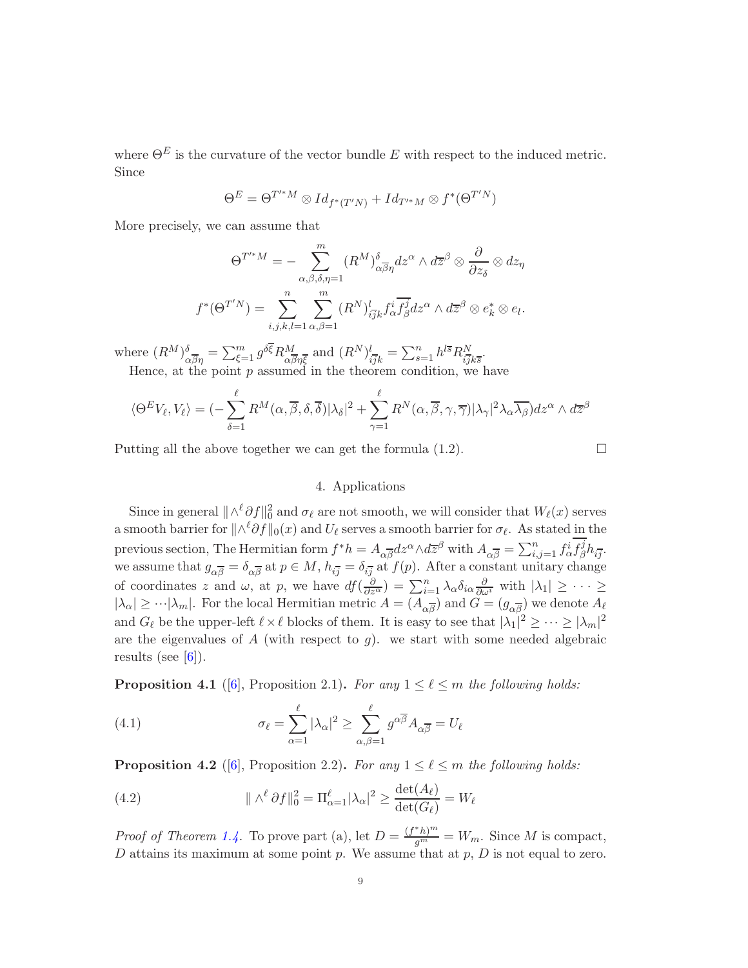where  $\Theta^E$  is the curvature of the vector bundle E with respect to the induced metric. Since

$$
\Theta^E = \Theta^{T'*M} \otimes Id_{f^*(T'N)} + Id_{T'*M} \otimes f^*(\Theta^{T'N})
$$

More precisely, we can assume that

$$
\Theta^{T^{\prime*}M} = -\sum_{\alpha,\beta,\delta,\eta=1}^{m} (R^M)_{\alpha\overline{\beta}\eta}^{\delta} dz^{\alpha} \wedge d\overline{z}^{\beta} \otimes \frac{\partial}{\partial z_{\delta}} \otimes dz_{\eta}
$$

$$
f^*(\Theta^{T^{\prime}N}) = \sum_{i,j,k,l=1}^{n} \sum_{\alpha,\beta=1}^{m} (R^N)_{i\overline{j}k}^l f_{\alpha}^i \overline{f_{\beta}^j} dz^{\alpha} \wedge d\overline{z}^{\beta} \otimes e_k^* \otimes e_l.
$$

where  $(R^M)_{\alpha\overline{\beta}\eta}^{\delta} = \sum_{\xi=1}^m g^{\delta\overline{\xi}} R^M_{\alpha\overline{\beta}\eta\xi}$  and  $(R^N)_{i\overline{j}k}^l = \sum_{s=1}^n h^{l\overline{s}} R^N_{i\overline{j}k\overline{s}}$ . Hence, at the point  $p$  assumed in the theorem condition, we have

$$
\langle \Theta^E V_\ell, V_\ell \rangle = (-\sum_{\delta=1}^\ell R^M(\alpha, \overline{\beta}, \delta, \overline{\delta}) |\lambda_\delta|^2 + \sum_{\gamma=1}^\ell R^N(\alpha, \overline{\beta}, \gamma, \overline{\gamma}) |\lambda_\gamma|^2 \lambda_\alpha \overline{\lambda_\beta} dz^\alpha \wedge d\overline{z}^\beta
$$

Putting all the above together we can get the formula (1.2).

$$
\Box
$$

## 4. Applications

Since in general  $\|\wedge^{\ell} \partial f\|_{0}^{2}$  and  $\sigma_{\ell}$  are not smooth, we will consider that  $W_{\ell}(x)$  serves a smooth barrier for  $\|\wedge^{\ell}\partial f\|_{0}(x)$  and  $U_{\ell}$  serves a smooth barrier for  $\sigma_{\ell}$ . As stated  $\underline{\text{in}}$  the previous section, The Hermitian form  $f^*h = A_{\alpha\overline{\beta}}dz^{\alpha}\wedge d\overline{z}^{\beta}$  with  $A_{\alpha\overline{\beta}} = \sum_{i,j=1}^n f^i_{\alpha}f^j_{\beta}$  ${}^j_\beta h_{i\overline{j}}.$ we assume that  $g_{\alpha\overline{\beta}} = \delta_{\alpha\overline{\beta}}$  at  $p \in M$ ,  $h_{i\overline{j}} = \delta_{i\overline{j}}$  at  $f(p)$ . After a constant unitary change of coordinates z and  $\omega$ , at p, we have  $df(\frac{\partial}{\partial z^{\alpha}}) = \sum_{i=1}^{n} \lambda_{\alpha} \delta_{i\alpha} \frac{\partial}{\partial \omega^{i}}$  with  $|\lambda_{1}| \geq \cdots \geq$  $|\lambda_{\alpha}| \geq \cdots |\lambda_m|$ . For the local Hermitian metric  $A = (A_{\alpha\overline{\beta}})$  and  $G = (g_{\alpha\overline{\beta}})$  we denote  $A_{\ell}$ and  $G_{\ell}$  be the upper-left  $\ell \times \ell$  blocks of them. It is easy to see that  $|\lambda_1|^2 \geq \cdots \geq |\lambda_m|^2$ are the eigenvalues of  $A$  (with respect to  $g$ ). we start with some needed algebraic results (see  $[6]$ ).

**Proposition 4.1** ([\[6\]](#page-12-1), Proposition 2.1). For any  $1 \leq \ell \leq m$  the following holds:

(4.1) 
$$
\sigma_{\ell} = \sum_{\alpha=1}^{\ell} |\lambda_{\alpha}|^2 \ge \sum_{\alpha,\beta=1}^{\ell} g^{\alpha \overline{\beta}} A_{\alpha \overline{\beta}} = U_{\ell}
$$

**Proposition 4.2** ([\[6\]](#page-12-1), Proposition 2.2). For any  $1 \leq \ell \leq m$  the following holds:

(4.2) 
$$
\|\wedge^{\ell} \partial f\|_{0}^{2} = \Pi_{\alpha=1}^{\ell} |\lambda_{\alpha}|^{2} \geq \frac{\det(A_{\ell})}{\det(G_{\ell})} = W_{\ell}
$$

*Proof of Theorem [1.4.](#page-2-0)* To prove part (a), let  $D = \frac{(f^*h)^m}{g^m} = W_m$ . Since M is compact, D attains its maximum at some point p. We assume that at p,  $D$  is not equal to zero.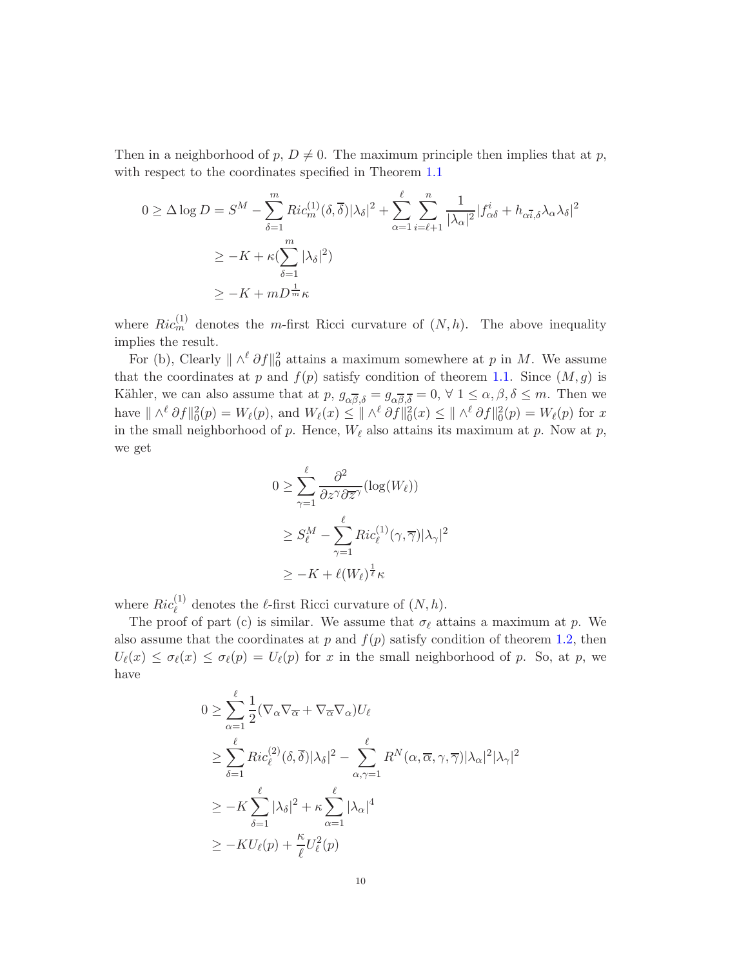Then in a neighborhood of p,  $D \neq 0$ . The maximum principle then implies that at p, with respect to the coordinates specified in Theorem [1.1](#page-1-0)

$$
0 \ge \Delta \log D = S^M - \sum_{\delta=1}^m Ric_m^{(1)}(\delta, \overline{\delta}) |\lambda_{\delta}|^2 + \sum_{\alpha=1}^\ell \sum_{i=\ell+1}^n \frac{1}{|\lambda_{\alpha}|^2} |f^i_{\alpha\delta} + h_{\alpha\overline{\delta},\delta} \lambda_{\alpha} \lambda_{\delta}|^2
$$
  

$$
\ge -K + \kappa (\sum_{\delta=1}^m |\lambda_{\delta}|^2)
$$
  

$$
\ge -K + m D^{\frac{1}{m}} \kappa
$$

where  $Ric_m^{(1)}$  denotes the *m*-first Ricci curvature of  $(N, h)$ . The above inequality implies the result.

For (b), Clearly  $\|\wedge^{\ell} \partial f\|_{0}^{2}$  attains a maximum somewhere at p in M. We assume that the coordinates at p and  $f(p)$  satisfy condition of theorem [1.1.](#page-1-0) Since  $(M, g)$  is Kähler, we can also assume that at p,  $g_{\alpha\overline{\beta},\delta} = g_{\alpha\overline{\beta},\overline{\delta}} = 0, \forall 1 \leq \alpha, \beta, \delta \leq m$ . Then we have  $\|\wedge^{\ell} \partial f\|_{0}^{2}(p) = W_{\ell}(p)$ , and  $W_{\ell}(x) \leq \|\wedge^{\ell} \partial f\|_{0}^{2}(x) \leq \|\wedge^{\ell} \partial f\|_{0}^{2}(p) = W_{\ell}(p)$  for x in the small neighborhood of p. Hence,  $W_{\ell}$  also attains its maximum at p. Now at p, we get

$$
0 \ge \sum_{\gamma=1}^{\ell} \frac{\partial^2}{\partial z^{\gamma} \partial \overline{z}^{\gamma}} (\log(W_{\ell}))
$$
  
 
$$
\ge S_{\ell}^M - \sum_{\gamma=1}^{\ell} Ric_{\ell}^{(1)}(\gamma, \overline{\gamma}) |\lambda_{\gamma}|^2
$$
  
 
$$
\ge -K + \ell(W_{\ell})^{\frac{1}{\ell}} \kappa
$$

where  $Ric_{\ell}^{(1)}$  denotes the  $\ell$ -first Ricci curvature of  $(N, h)$ .

The proof of part (c) is similar. We assume that  $\sigma_{\ell}$  attains a maximum at p. We also assume that the coordinates at p and  $f(p)$  satisfy condition of theorem [1.2,](#page-1-1) then  $U_{\ell}(x) \leq \sigma_{\ell}(x) \leq \sigma_{\ell}(p) = U_{\ell}(p)$  for x in the small neighborhood of p. So, at p, we have

$$
0 \geq \sum_{\alpha=1}^{\ell} \frac{1}{2} (\nabla_{\alpha} \nabla_{\overline{\alpha}} + \nabla_{\overline{\alpha}} \nabla_{\alpha}) U_{\ell}
$$
  
\n
$$
\geq \sum_{\delta=1}^{\ell} Ric_{\ell}^{(2)}(\delta, \overline{\delta}) |\lambda_{\delta}|^{2} - \sum_{\alpha, \gamma=1}^{\ell} R^{N}(\alpha, \overline{\alpha}, \gamma, \overline{\gamma}) |\lambda_{\alpha}|^{2} |\lambda_{\gamma}|^{2}
$$
  
\n
$$
\geq -K \sum_{\delta=1}^{\ell} |\lambda_{\delta}|^{2} + \kappa \sum_{\alpha=1}^{\ell} |\lambda_{\alpha}|^{4}
$$
  
\n
$$
\geq -K U_{\ell}(p) + \frac{\kappa}{\ell} U_{\ell}^{2}(p)
$$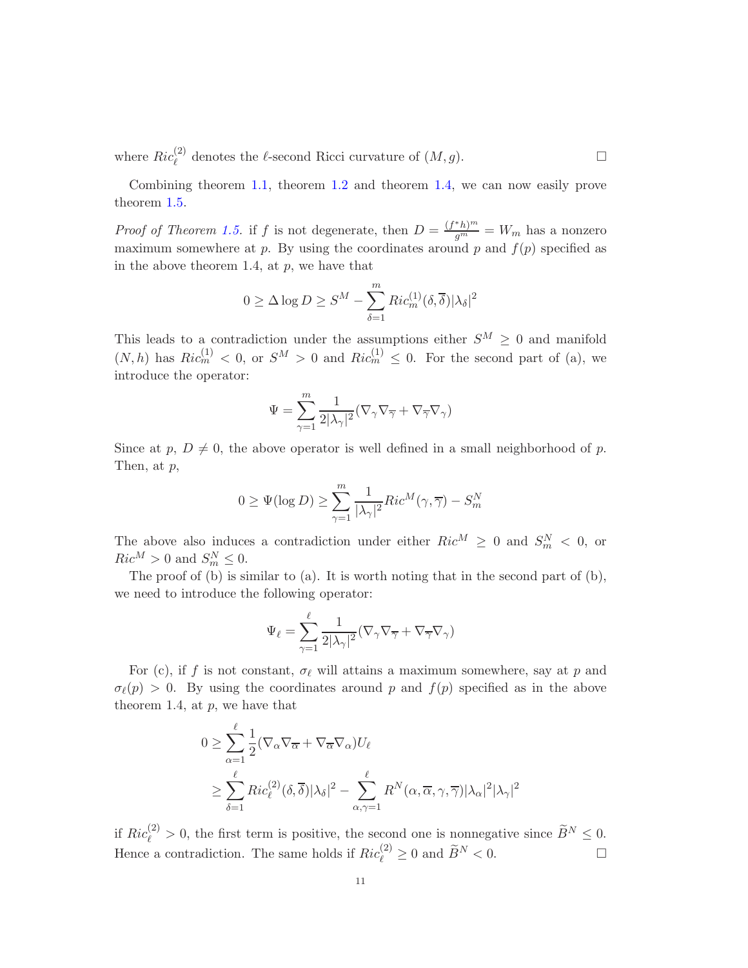where  $Ric_{\ell}^{(2)}$  denotes the  $\ell$ -second Ricci curvature of  $(M, g)$ .

Combining theorem [1.1,](#page-1-0) theorem [1.2](#page-1-1) and theorem [1.4,](#page-2-0) we can now easily prove theorem [1.5.](#page-3-0)

*Proof of Theorem [1.5.](#page-3-0)* if f is not degenerate, then  $D = \frac{(f^*h)^m}{g^m} = W_m$  has a nonzero maximum somewhere at p. By using the coordinates around p and  $f(p)$  specified as in the above theorem 1.4, at  $p$ , we have that

$$
0 \ge \Delta \log D \ge S^M - \sum_{\delta=1}^m Ric_m^{(1)}(\delta, \overline{\delta}) |\lambda_{\delta}|^2
$$

This leads to a contradiction under the assumptions either  $S^M \geq 0$  and manifold  $(N, h)$  has  $Ric_m^{(1)} < 0$ , or  $S^M > 0$  and  $Ric_m^{(1)} \leq 0$ . For the second part of (a), we introduce the operator:

$$
\Psi = \sum_{\gamma=1}^m \frac{1}{2|\lambda_\gamma|^2} (\nabla_\gamma \nabla_{\overline{\gamma}} + \nabla_{\overline{\gamma}} \nabla_\gamma)
$$

Since at  $p, D \neq 0$ , the above operator is well defined in a small neighborhood of p. Then, at p,

$$
0 \ge \Psi(\log D) \ge \sum_{\gamma=1}^{m} \frac{1}{|\lambda_{\gamma}|^2} Ric^{M}(\gamma, \overline{\gamma}) - S_{m}^{N}
$$

The above also induces a contradiction under either  $Ric^M \geq 0$  and  $S_m^N < 0$ , or  $Ric^M > 0$  and  $S_m^N \leq 0$ .

The proof of (b) is similar to (a). It is worth noting that in the second part of (b), we need to introduce the following operator:

$$
\Psi_\ell = \sum_{\gamma=1}^\ell \frac{1}{2|\lambda_\gamma|^2} (\nabla_\gamma \nabla_{\overline \gamma} + \nabla_{\overline \gamma} \nabla_\gamma)
$$

For (c), if f is not constant,  $\sigma_{\ell}$  will attains a maximum somewhere, say at p and  $\sigma_{\ell}(p) > 0$ . By using the coordinates around p and  $f(p)$  specified as in the above theorem 1.4, at  $p$ , we have that

$$
0 \geq \sum_{\alpha=1}^{\ell} \frac{1}{2} (\nabla_{\alpha} \nabla_{\overline{\alpha}} + \nabla_{\overline{\alpha}} \nabla_{\alpha}) U_{\ell}
$$
  

$$
\geq \sum_{\delta=1}^{\ell} Ric_{\ell}^{(2)}(\delta, \overline{\delta}) |\lambda_{\delta}|^{2} - \sum_{\alpha, \gamma=1}^{\ell} R^{N}(\alpha, \overline{\alpha}, \gamma, \overline{\gamma}) |\lambda_{\alpha}|^{2} |\lambda_{\gamma}|^{2}
$$

if  $Ric_{\ell}^{(2)} > 0$ , the first term is positive, the second one is nonnegative since  $\widetilde{B}^{N} \leq 0$ . Hence a contradiction. The same holds if  $Ric_{\ell}^{(2)} \ge 0$  and  $\widetilde{B}^{N} < 0$ .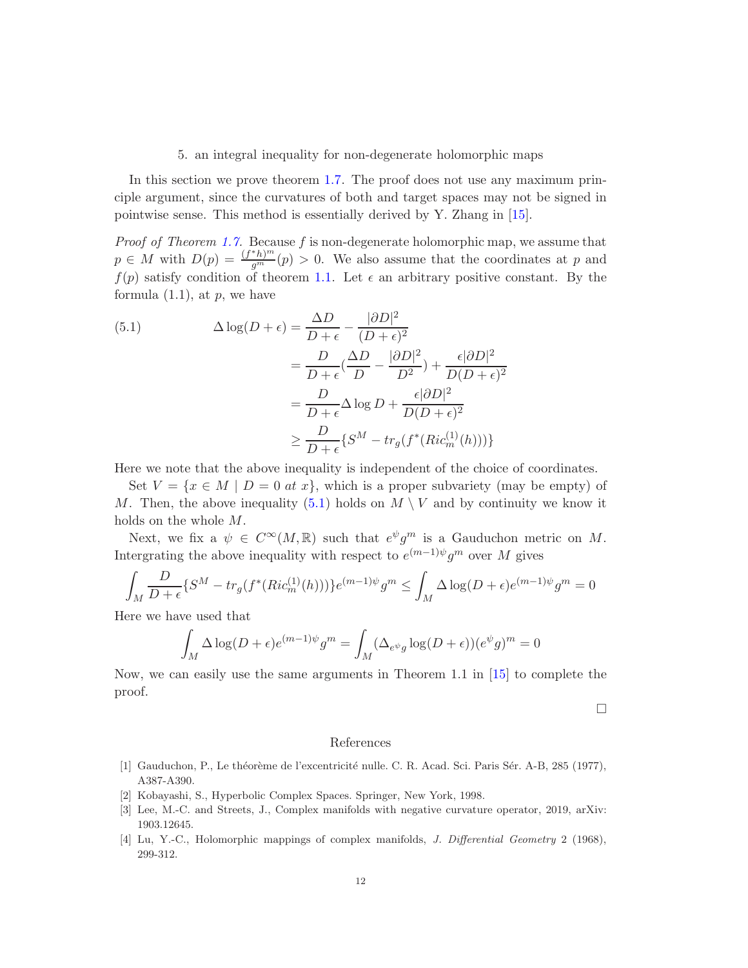### 5. an integral inequality for non-degenerate holomorphic maps

In this section we prove theorem [1.7.](#page-3-2) The proof does not use any maximum principle argument, since the curvatures of both and target spaces may not be signed in pointwise sense. This method is essentially derived by Y. Zhang in [\[15\]](#page-12-9).

*Proof of Theorem [1.7.](#page-3-2)* Because f is non-degenerate holomorphic map, we assume that  $p \in M$  with  $D(p) = \frac{(f^*h)^m}{g^m}(p) > 0$ . We also assume that the coordinates at p and  $f(p)$  satisfy condition of theorem [1.1.](#page-1-0) Let  $\epsilon$  an arbitrary positive constant. By the formula  $(1.1)$ , at p, we have

<span id="page-11-4"></span>(5.1) 
$$
\Delta \log(D + \epsilon) = \frac{\Delta D}{D + \epsilon} - \frac{|\partial D|^2}{(D + \epsilon)^2}
$$

$$
= \frac{D}{D + \epsilon} (\frac{\Delta D}{D} - \frac{|\partial D|^2}{D^2}) + \frac{\epsilon |\partial D|^2}{D(D + \epsilon)^2}
$$

$$
= \frac{D}{D + \epsilon} \Delta \log D + \frac{\epsilon |\partial D|^2}{D(D + \epsilon)^2}
$$

$$
\geq \frac{D}{D + \epsilon} \{S^M - tr_g(f^*(Ric_m^{(1)}(h)))\}
$$

Here we note that the above inequality is independent of the choice of coordinates.

Set  $V = \{x \in M \mid D = 0 \text{ at } x\}$ , which is a proper subvariety (may be empty) of M. Then, the above inequality [\(5.1\)](#page-11-4) holds on  $M \setminus V$  and by continuity we know it holds on the whole M.

Next, we fix a  $\psi \in C^{\infty}(M,\mathbb{R})$  such that  $e^{\psi}g^m$  is a Gauduchon metric on M. Intergrating the above inequality with respect to  $e^{(m-1)\psi}g^m$  over M gives

$$
\int_M \frac{D}{D+\epsilon} \{ S^M - tr_g(f^*(Ric_m^{(1)}(h))) \} e^{(m-1)\psi} g^m \le \int_M \Delta \log(D+\epsilon) e^{(m-1)\psi} g^m = 0
$$

Here we have used that

$$
\int_M \Delta \log(D+\epsilon) e^{(m-1)\psi} g^m = \int_M (\Delta_{e^{\psi}g} \log(D+\epsilon)) (e^{\psi} g)^m = 0
$$

Now, we can easily use the same arguments in Theorem 1.1 in [\[15\]](#page-12-9) to complete the proof.

 $\Box$ 

#### References

- <span id="page-11-3"></span><span id="page-11-0"></span>[1] Gauduchon, P., Le théorème de l'excentricité nulle. C. R. Acad. Sci. Paris Sér. A-B, 285 (1977), A387-A390.
- <span id="page-11-2"></span>[2] Kobayashi, S., Hyperbolic Complex Spaces. Springer, New York, 1998.
- <span id="page-11-1"></span>[3] Lee, M.-C. and Streets, J., Complex manifolds with negative curvature operator, 2019, arXiv: 1903.12645.
- [4] Lu, Y.-C., Holomorphic mappings of complex manifolds, J. Differential Geometry 2 (1968), 299-312.